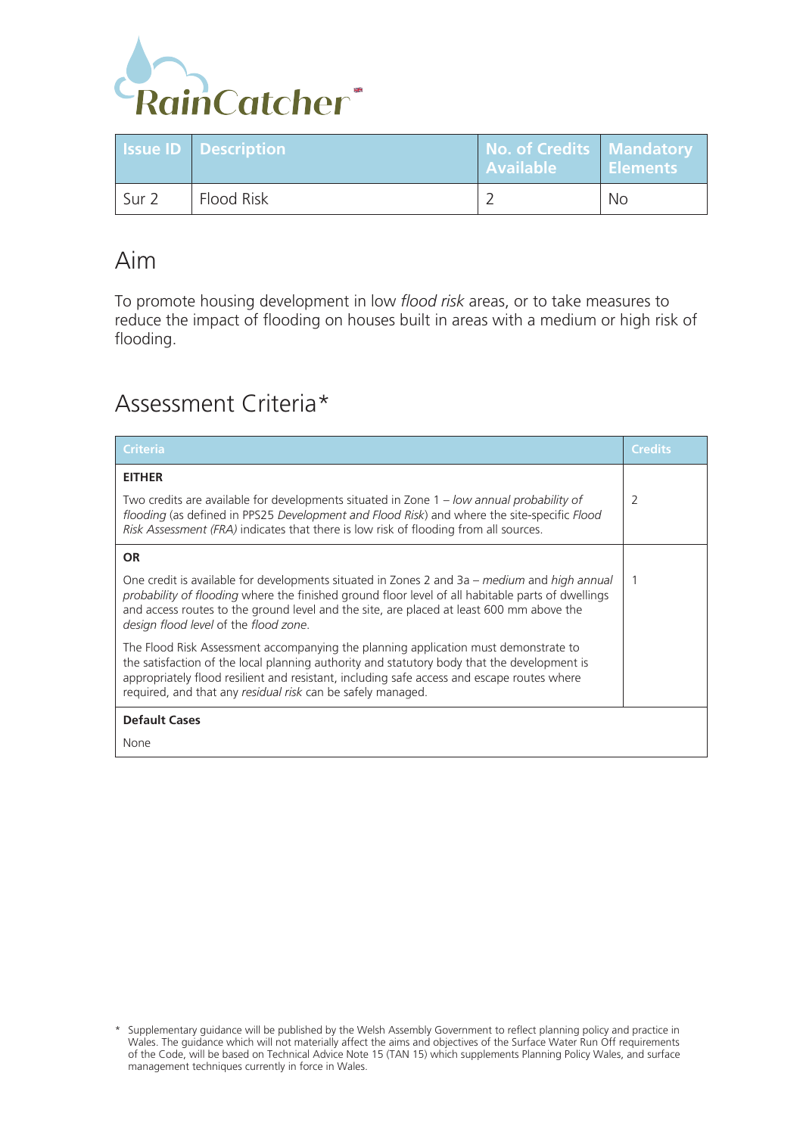

|                  | <b>Issue ID Description</b> | No. of Credits   Mandatory<br><b>Available</b> | <b>Elements</b> |
|------------------|-----------------------------|------------------------------------------------|-----------------|
| Sur <sub>2</sub> | Flood Risk                  |                                                | No              |

# Aim

To promote housing development in low *flood risk* areas, or to take measures to reduce the impact of flooding on houses built in areas with a medium or high risk of flooding.

# Assessment Criteria\*

| <b>Criteria</b>                                                                                                                                                                                                                                                                                                                                 | Credits |  |  |
|-------------------------------------------------------------------------------------------------------------------------------------------------------------------------------------------------------------------------------------------------------------------------------------------------------------------------------------------------|---------|--|--|
| <b>EITHER</b>                                                                                                                                                                                                                                                                                                                                   |         |  |  |
| Two credits are available for developments situated in Zone 1 – low annual probability of<br>flooding (as defined in PPS25 Development and Flood Risk) and where the site-specific Flood<br>Risk Assessment (FRA) indicates that there is low risk of flooding from all sources.                                                                | 2       |  |  |
| <b>OR</b>                                                                                                                                                                                                                                                                                                                                       |         |  |  |
| One credit is available for developments situated in Zones 2 and 3a – medium and high annual<br>probability of flooding where the finished ground floor level of all habitable parts of dwellings<br>and access routes to the ground level and the site, are placed at least 600 mm above the<br>design flood level of the flood zone.          |         |  |  |
| The Flood Risk Assessment accompanying the planning application must demonstrate to<br>the satisfaction of the local planning authority and statutory body that the development is<br>appropriately flood resilient and resistant, including safe access and escape routes where<br>required, and that any residual risk can be safely managed. |         |  |  |
| <b>Default Cases</b>                                                                                                                                                                                                                                                                                                                            |         |  |  |
| None                                                                                                                                                                                                                                                                                                                                            |         |  |  |

<sup>\*</sup> Supplementary guidance will be published by the Welsh Assembly Government to reflect planning policy and practice in Wales. The guidance which will not materially affect the aims and objectives of the Surface Water Run Off requirements of the Code, will be based on Technical Advice Note 15 (TAN 15) which supplements Planning Policy Wales, and surface management techniques currently in force in Wales.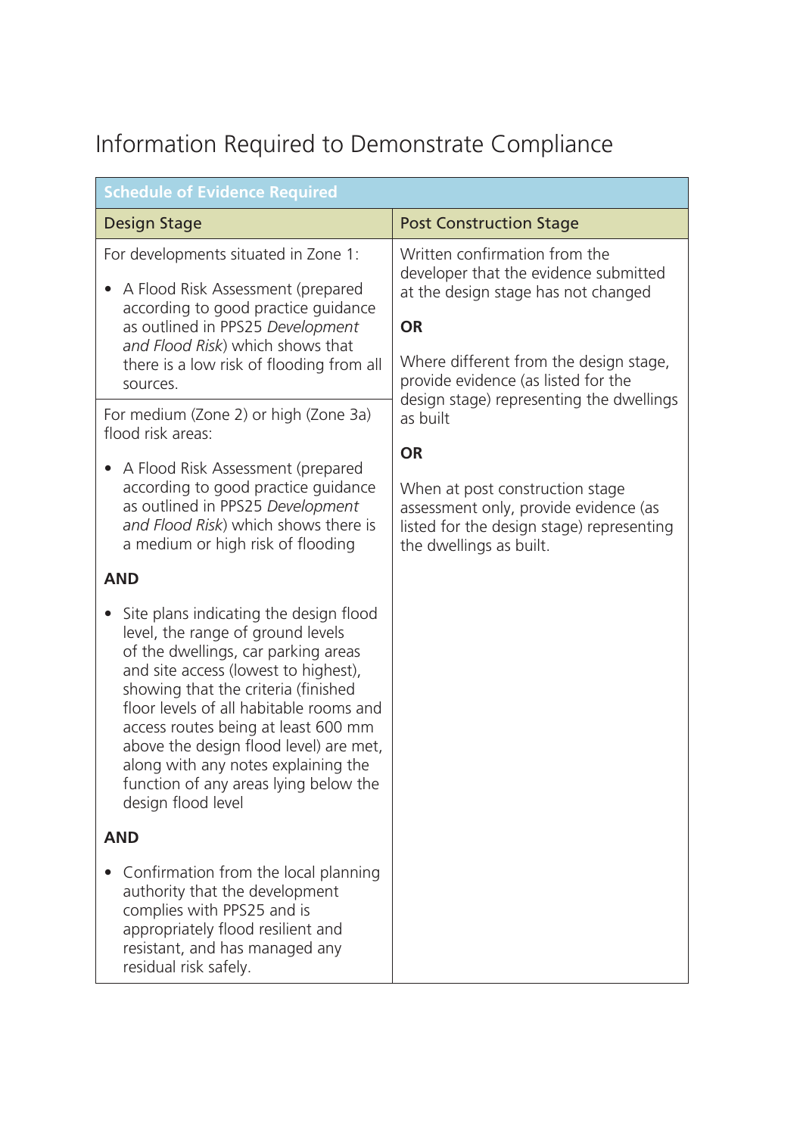# Information Required to Demonstrate Compliance

| <b>Schedule of Evidence Required</b>                                                                                                                                                                                                                                                                                                                                                                                                             |                                                                                                                                                                                                             |  |  |
|--------------------------------------------------------------------------------------------------------------------------------------------------------------------------------------------------------------------------------------------------------------------------------------------------------------------------------------------------------------------------------------------------------------------------------------------------|-------------------------------------------------------------------------------------------------------------------------------------------------------------------------------------------------------------|--|--|
| <b>Design Stage</b>                                                                                                                                                                                                                                                                                                                                                                                                                              | <b>Post Construction Stage</b>                                                                                                                                                                              |  |  |
| For developments situated in Zone 1:<br>A Flood Risk Assessment (prepared<br>according to good practice guidance<br>as outlined in PPS25 Development<br>and Flood Risk) which shows that<br>there is a low risk of flooding from all<br>sources.                                                                                                                                                                                                 | Written confirmation from the<br>developer that the evidence submitted<br>at the design stage has not changed<br><b>OR</b><br>Where different from the design stage,<br>provide evidence (as listed for the |  |  |
| For medium (Zone 2) or high (Zone 3a)<br>flood risk areas:                                                                                                                                                                                                                                                                                                                                                                                       | design stage) representing the dwellings<br>as built                                                                                                                                                        |  |  |
| A Flood Risk Assessment (prepared<br>$\bullet$                                                                                                                                                                                                                                                                                                                                                                                                   | <b>OR</b>                                                                                                                                                                                                   |  |  |
| according to good practice guidance<br>as outlined in PPS25 Development<br>and Flood Risk) which shows there is<br>a medium or high risk of flooding                                                                                                                                                                                                                                                                                             | When at post construction stage<br>assessment only, provide evidence (as<br>listed for the design stage) representing<br>the dwellings as built.                                                            |  |  |
| <b>AND</b>                                                                                                                                                                                                                                                                                                                                                                                                                                       |                                                                                                                                                                                                             |  |  |
| Site plans indicating the design flood<br>$\bullet$<br>level, the range of ground levels<br>of the dwellings, car parking areas<br>and site access (lowest to highest),<br>showing that the criteria (finished<br>floor levels of all habitable rooms and<br>access routes being at least 600 mm<br>above the design flood level) are met,<br>along with any notes explaining the<br>function of any areas lying below the<br>design flood level |                                                                                                                                                                                                             |  |  |
| <b>AND</b>                                                                                                                                                                                                                                                                                                                                                                                                                                       |                                                                                                                                                                                                             |  |  |
| Confirmation from the local planning<br>authority that the development<br>complies with PPS25 and is<br>appropriately flood resilient and<br>resistant, and has managed any<br>residual risk safely.                                                                                                                                                                                                                                             |                                                                                                                                                                                                             |  |  |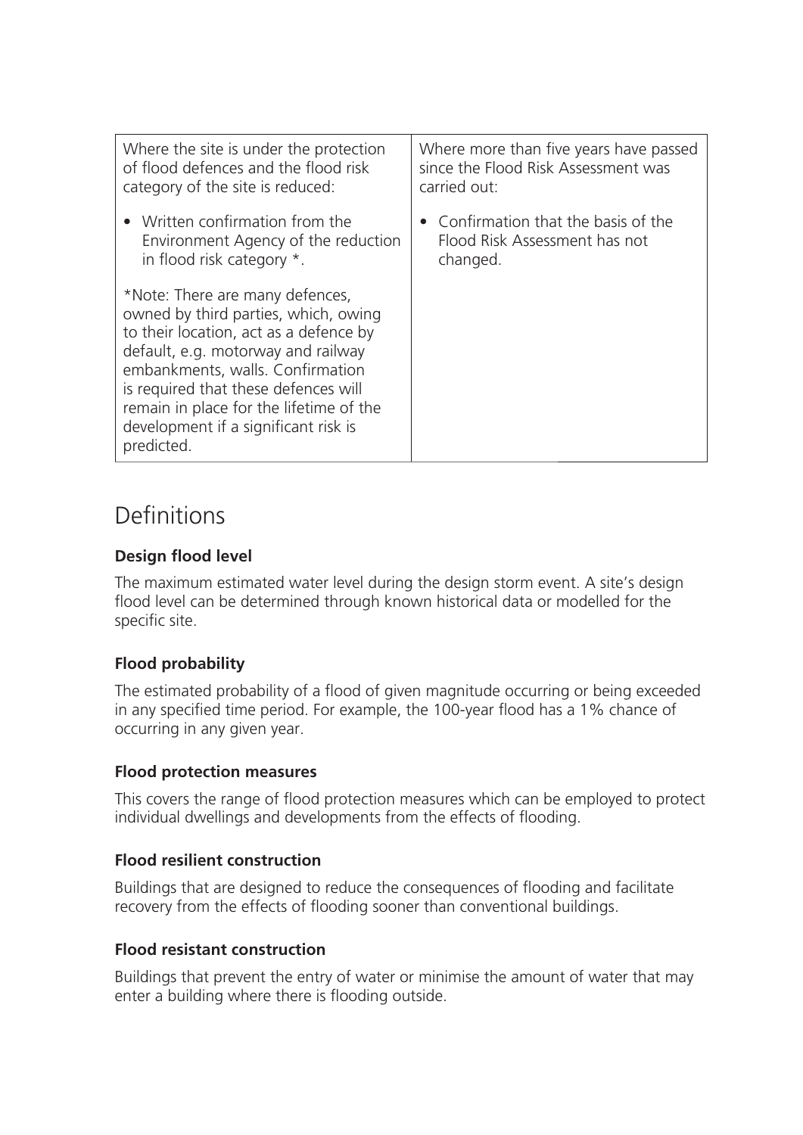| Where the site is under the protection                                                                                                                                                                                                                                                                                               | Where more than five years have passed |
|--------------------------------------------------------------------------------------------------------------------------------------------------------------------------------------------------------------------------------------------------------------------------------------------------------------------------------------|----------------------------------------|
| of flood defences and the flood risk                                                                                                                                                                                                                                                                                                 | since the Flood Risk Assessment was    |
| category of the site is reduced:                                                                                                                                                                                                                                                                                                     | carried out:                           |
| • Written confirmation from the                                                                                                                                                                                                                                                                                                      | • Confirmation that the basis of the   |
| Environment Agency of the reduction                                                                                                                                                                                                                                                                                                  | Flood Risk Assessment has not          |
| in flood risk category *.                                                                                                                                                                                                                                                                                                            | changed.                               |
| *Note: There are many defences,<br>owned by third parties, which, owing<br>to their location, act as a defence by<br>default, e.g. motorway and railway<br>embankments, walls. Confirmation<br>is required that these defences will<br>remain in place for the lifetime of the<br>development if a significant risk is<br>predicted. |                                        |

# **Definitions**

### **Design flood level**

The maximum estimated water level during the design storm event. A site's design flood level can be determined through known historical data or modelled for the specific site.

### **Flood probability**

The estimated probability of a flood of given magnitude occurring or being exceeded in any specified time period. For example, the 100-year flood has a 1% chance of occurring in any given year.

### **Flood protection measures**

This covers the range of flood protection measures which can be employed to protect individual dwellings and developments from the effects of flooding.

### **Flood resilient construction**

Buildings that are designed to reduce the consequences of flooding and facilitate recovery from the effects of flooding sooner than conventional buildings.

### **Flood resistant construction**

Buildings that prevent the entry of water or minimise the amount of water that may enter a building where there is flooding outside.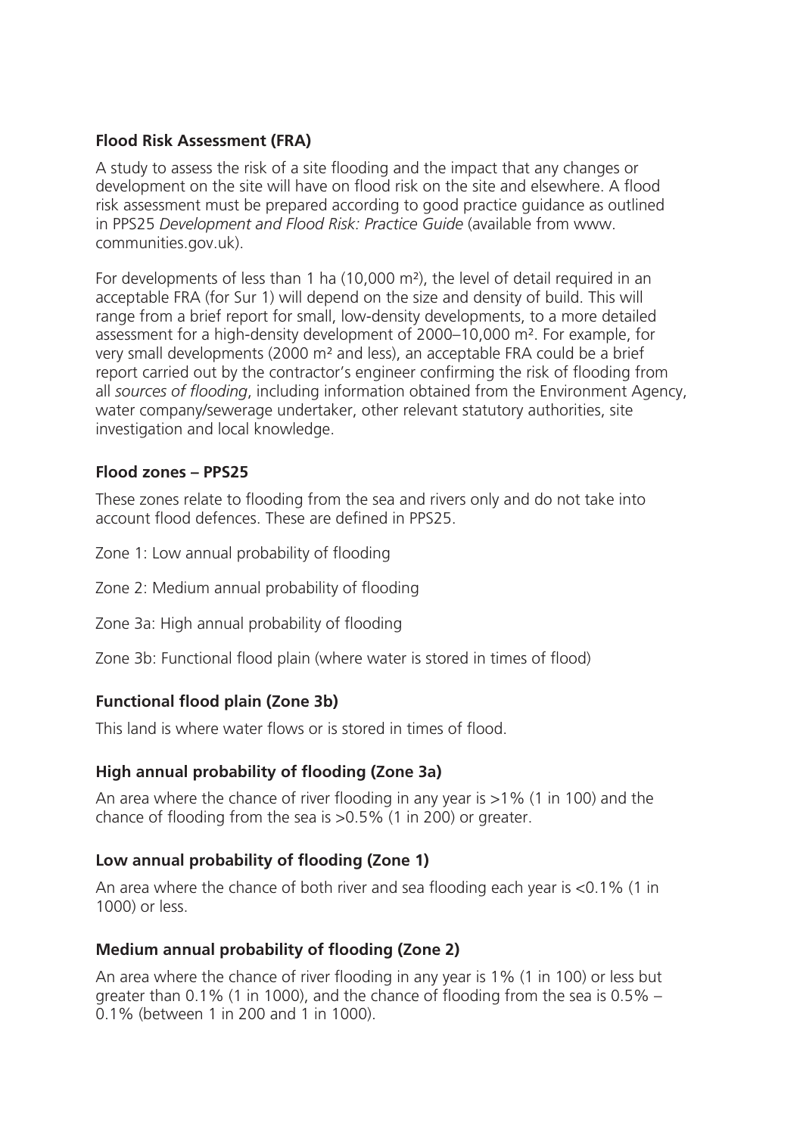#### **Flood Risk Assessment (FRA)**

A study to assess the risk of a site flooding and the impact that any changes or development on the site will have on flood risk on the site and elsewhere. A flood risk assessment must be prepared according to good practice guidance as outlined in PPS25 *Development and Flood Risk: Practice Guide* (available from www. communities.gov.uk).

For developments of less than 1 ha (10,000 m²), the level of detail required in an acceptable FRA (for Sur 1) will depend on the size and density of build. This will range from a brief report for small, low-density developments, to a more detailed assessment for a high-density development of 2000–10,000 m². For example, for very small developments (2000 m² and less), an acceptable FRA could be a brief report carried out by the contractor's engineer confirming the risk of flooding from all *sources of flooding*, including information obtained from the Environment Agency, water company/sewerage undertaker, other relevant statutory authorities, site investigation and local knowledge.

#### **Flood zones – PPS25**

These zones relate to flooding from the sea and rivers only and do not take into account flood defences. These are defined in PPS25.

Zone 1: Low annual probability of flooding

Zone 2: Medium annual probability of flooding

Zone 3a: High annual probability of flooding

Zone 3b: Functional flood plain (where water is stored in times of flood)

#### **Functional flood plain (Zone 3b)**

This land is where water flows or is stored in times of flood.

#### **High annual probability of flooding (Zone 3a)**

An area where the chance of river flooding in any year is >1% (1 in 100) and the chance of flooding from the sea is >0.5% (1 in 200) or greater.

#### **Low annual probability of flooding (Zone 1)**

An area where the chance of both river and sea flooding each year is <0.1% (1 in 1000) or less.

#### **Medium annual probability of flooding (Zone 2)**

An area where the chance of river flooding in any year is 1% (1 in 100) or less but greater than 0.1% (1 in 1000), and the chance of flooding from the sea is 0.5% – 0.1% (between 1 in 200 and 1 in 1000).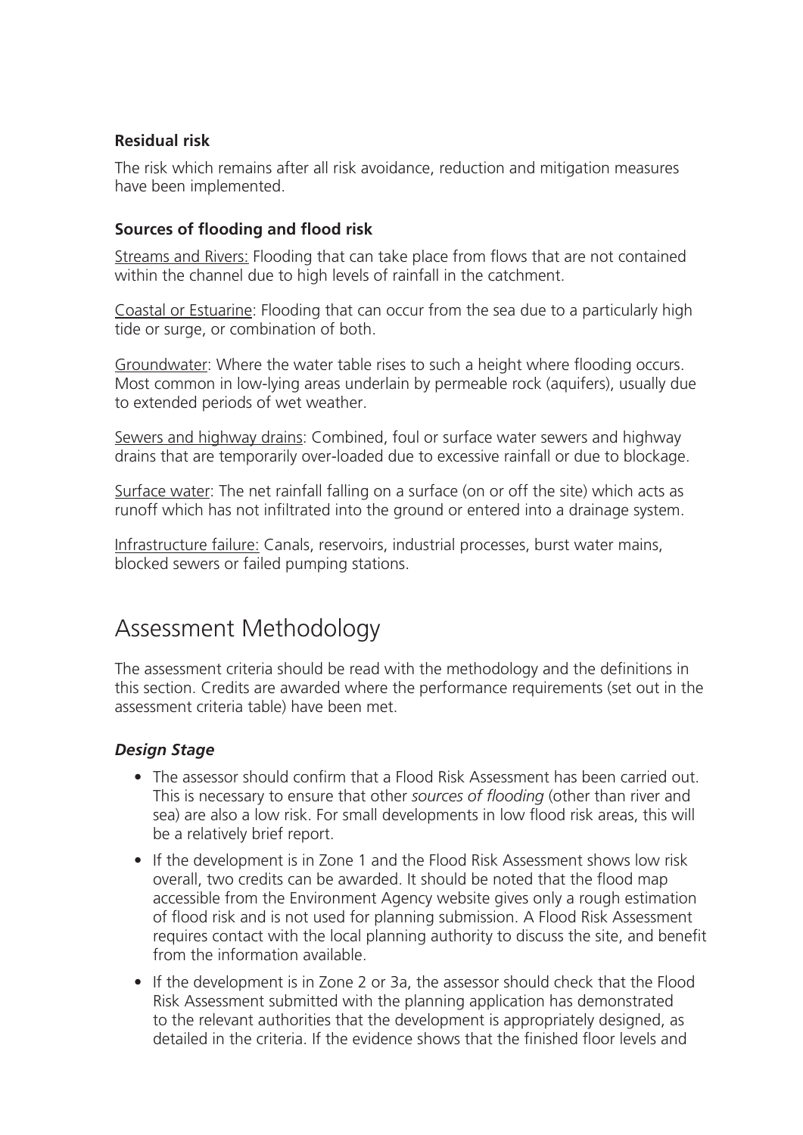#### **Residual risk**

The risk which remains after all risk avoidance, reduction and mitigation measures have been implemented.

### **Sources of flooding and flood risk**

Streams and Rivers: Flooding that can take place from flows that are not contained within the channel due to high levels of rainfall in the catchment.

Coastal or Estuarine: Flooding that can occur from the sea due to a particularly high tide or surge, or combination of both.

Groundwater: Where the water table rises to such a height where flooding occurs. Most common in low-lying areas underlain by permeable rock (aquifers), usually due to extended periods of wet weather.

Sewers and highway drains: Combined, foul or surface water sewers and highway drains that are temporarily over-loaded due to excessive rainfall or due to blockage.

Surface water: The net rainfall falling on a surface (on or off the site) which acts as runoff which has not infiltrated into the ground or entered into a drainage system.

Infrastructure failure: Canals, reservoirs, industrial processes, burst water mains, blocked sewers or failed pumping stations.

# Assessment Methodology

The assessment criteria should be read with the methodology and the definitions in this section. Credits are awarded where the performance requirements (set out in the assessment criteria table) have been met.

### *Design Stage*

- The assessor should confirm that a Flood Risk Assessment has been carried out. This is necessary to ensure that other *sources of flooding* (other than river and sea) are also a low risk. For small developments in low flood risk areas, this will be a relatively brief report.
- If the development is in Zone 1 and the Flood Risk Assessment shows low risk overall, two credits can be awarded. It should be noted that the flood map accessible from the Environment Agency website gives only a rough estimation of flood risk and is not used for planning submission. A Flood Risk Assessment requires contact with the local planning authority to discuss the site, and benefit from the information available.
- If the development is in Zone 2 or 3a, the assessor should check that the Flood Risk Assessment submitted with the planning application has demonstrated to the relevant authorities that the development is appropriately designed, as detailed in the criteria. If the evidence shows that the finished floor levels and